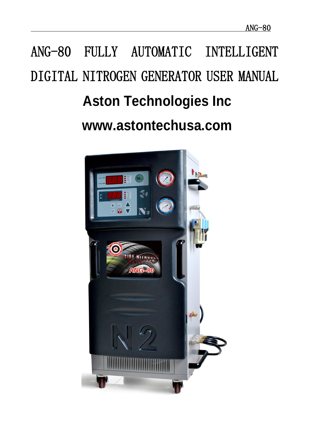# ANG-80 FULLY AUTOMATIC INTELLIGENT DIGITAL NITROGEN GENERATOR USER MANUAL **Aston Technologies Inc www.astontechusa.com**

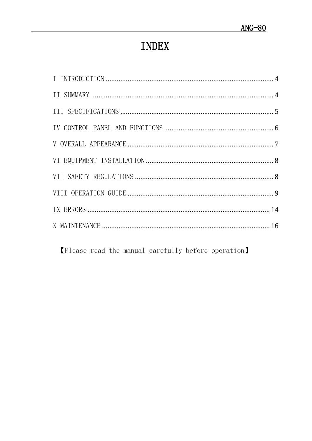# **INDEX**

[Please read the manual carefully before operation]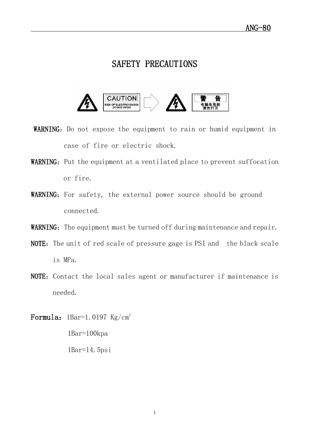## SAFETY PRECAUTIONS



- WARNING: Do not expose the equipment to rain or humid equipment in case of fire or electric shock.
- WARNING: Put the equipment at a ventilated place to prevent suffocation or fire.
- WARNING: For safety, the external power source should be ground connected.
- WARNING: The equipment must be turned off during maintenance and repair.
- NOTE: The unit of red scale of pressure gage is PSI and the black scale is MPa.
- NOTE: Contact the local sales agent or manufacturer if maintenance is needed.

Formula:  $1\text{Bar}=1.0197 \text{ Kg/cm}^2$ 

 1Bar=100kpa 1Bar=14.5psi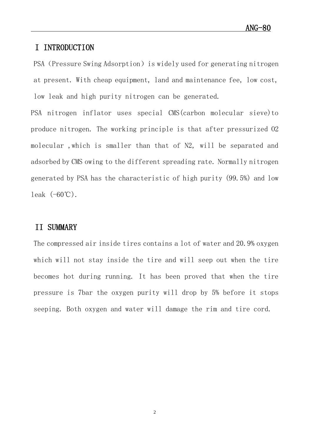#### <span id="page-3-0"></span>I INTRODUCTION

PSA (Pressure Swing Adsorption) is widely used for generating nitrogen at present. With cheap equipment, land and maintenance fee, low cost, low leak and high purity nitrogen can be generated.

PSA nitrogen inflator uses special CMS(carbon molecular sieve)to produce nitrogen. The working principle is that after pressurized O2 molecular ,which is smaller than that of N2, will be separated and adsorbed by CMS owing to the different spreading rate. Normally nitrogen generated by PSA has the characteristic of high purity (99.5%) and low leak  $(-60^{\circ}\mathrm{C})$ .

#### <span id="page-3-1"></span>II SUMMARY

The compressed air inside tires contains a lot of water and 20.9% oxygen which will not stay inside the tire and will seep out when the tire becomes hot during running. It has been proved that when the tire pressure is 7bar the oxygen purity will drop by 5% before it stops seeping. Both oxygen and water will damage the rim and tire cord.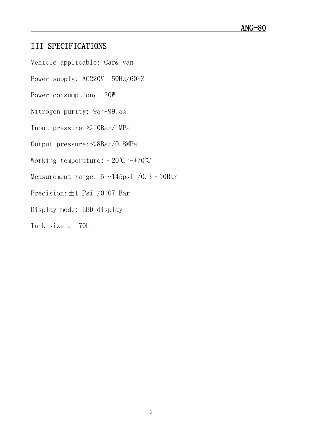### <span id="page-4-0"></span>III SPECIFICATIONS

- Vehicle applicable: Car& van
- Power supply: AC220V 50Hz/60HZ
- Power consumption: 30W
- Nitrogen purity:  $95~99.5%$
- Input pressure:≤10Bar/1MPa
- Output pressure:<8Bar/0.8MPa
- Working temperature:  $-20^{\circ}\text{C} \sim +70^{\circ}\text{C}$
- Measurement range:  $5 \sim 145$ psi /0.3 $\sim$ 10Bar
- Precision:  $\pm 1$  Psi /0.07 Bar
- Display mode: LED display
- Tank size : 70L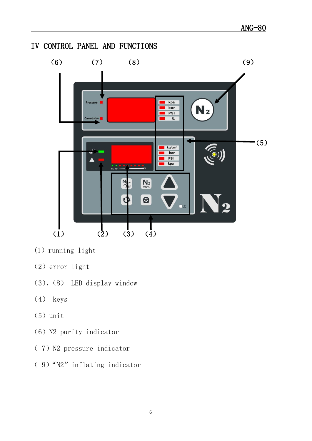<span id="page-5-0"></span>

- $(1)$  running light
- (2)error light
- (3)、(8) LED display window
- (4) keys
- $(5)$  unit
- (6) N2 purity indicator
- (7) N2 pressure indicator
- ( 9)"N2"inflating indicator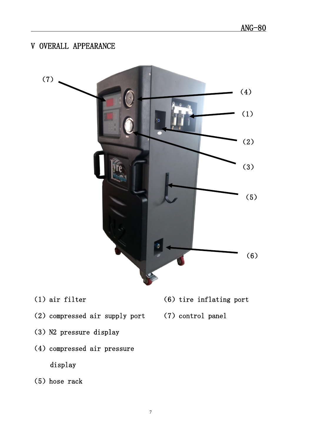# <span id="page-6-0"></span>V OVERALL APPEARANCE



- (1)air filter
- (2) compressed air supply port
- (3) N2 pressure display
- (4) compressed air pressure display
- (5) hose rack
- $(6)$  tire inflating port
- (7) control panel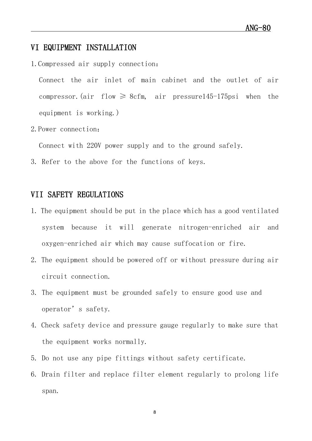#### <span id="page-7-0"></span>VI EQUIPMENT INSTALLATION

1.Compressed air supply connection:

Connect the air inlet of main cabinet and the outlet of air compressor. (air flow  $\geq$  8cfm, air pressure145-175psi when the equipment is working.)

2.Power connection:

Connect with 220V power supply and to the ground safely.

3. Refer to the above for the functions of keys.

#### <span id="page-7-1"></span>VII SAFETY REGULATIONS

- 1. The equipment should be put in the place which has a good ventilated system because it will generate nitrogen-enriched air and oxygen-enriched air which may cause suffocation or fire.
- 2. The equipment should be powered off or without pressure during air circuit connection.
- 3. The equipment must be grounded safely to ensure good use and operator's safety.
- 4. Check safety device and pressure gauge regularly to make sure that the equipment works normally.
- 5. Do not use any pipe fittings without safety certificate.
- 6. Drain filter and replace filter element regularly to prolong life span.

8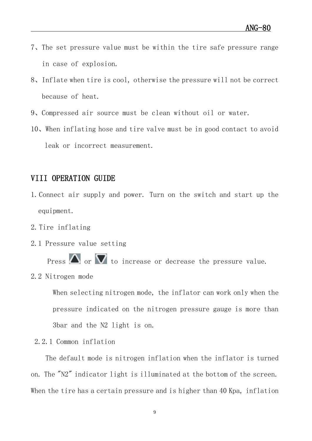- 7、The set pressure value must be within the tire safe pressure range in case of explosion.
- 8、Inflate when tire is cool, otherwise the pressure will not be correct because of heat.
- 9、Compressed air source must be clean without oil or water.
- 10、When inflating hose and tire valve must be in good contact to avoid leak or incorrect measurement.

#### <span id="page-8-0"></span>VIII OPERATION GUIDE

- 1.Connect air supply and power. Turn on the switch and start up the equipment.
- 2.Tire inflating
- 2.1 Pressure value setting

Press  $\triangle$  or  $\nabla$  to increase or decrease the pressure value.

2.2 Nitrogen mode

When selecting nitrogen mode, the inflator can work only when the pressure indicated on the nitrogen pressure gauge is more than 3bar and the N2 light is on.

2.2.1 Common inflation

The default mode is nitrogen inflation when the inflator is turned on. The "N2" indicator light is illuminated at the bottom of the screen. When the tire has a certain pressure and is higher than 40 Kpa, inflation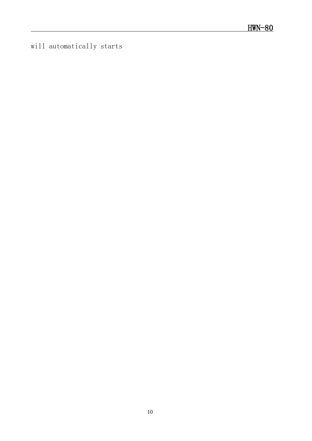will automatically starts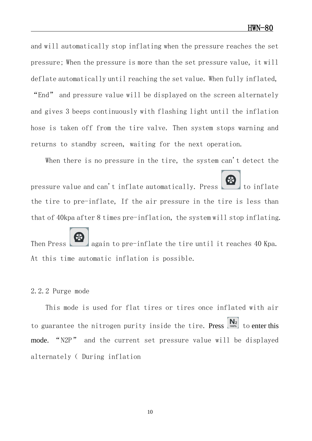and will automatically stop inflating when the pressure reaches the set pressure; When the pressure is more than the set pressure value, it will deflate automatically until reaching the set value. When fully inflated, "End" and pressure value will be displayed on the screen alternately and gives 3 beeps continuously with flashing light until the inflation hose is taken off from the tire valve. Then system stops warning and returns to standby screen, waiting for the next operation.

When there is no pressure in the tire, the system can't detect the

pressure value and can't inflate automatically. Press to inflate the tire to pre-inflate, If the air pressure in the tire is less than that of 40kpa after 8 times pre-inflation, the system will stop inflating.

Then Press again to pre-inflate the tire until it reaches 40 Kpa. At this time automatic inflation is possible.

#### 2.2.2 Purge mode

This mode is used for flat tires or tires once inflated with air to guarantee the nitrogen purity inside the tire. Press  $\begin{bmatrix} N_2 \\ N_3 \end{bmatrix}$  to enter this mode. "N2P" and the current set pressure value will be displayed alternately( During inflation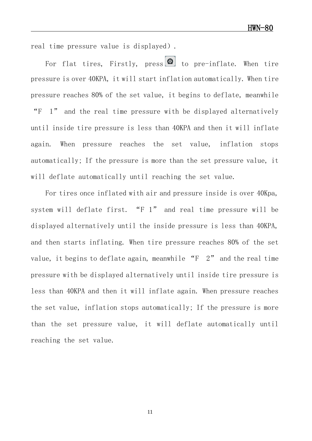real time pressure value is displayed).

For flat tires, Firstly, press  $\bigcirc$  to pre-inflate. When tire pressure is over 40KPA, it will start inflation automatically. When tire pressure reaches 80% of the set value, it begins to deflate, meanwhile "F 1" and the real time pressure with be displayed alternatively until inside tire pressure is less than 40KPA and then it will inflate again. When pressure reaches the set value, inflation stops automatically; If the pressure is more than the set pressure value, it will deflate automatically until reaching the set value.

For tires once inflated with air and pressure inside is over 40Kpa, system will deflate first. "F 1" and real time pressure will be displayed alternatively until the inside pressure is less than 40KPA, and then starts inflating. When tire pressure reaches 80% of the set value, it begins to deflate again, meanwhile "F 2" and the real time pressure with be displayed alternatively until inside tire pressure is less than 40KPA and then it will inflate again. When pressure reaches the set value, inflation stops automatically; If the pressure is more than the set pressure value, it will deflate automatically until reaching the set value.

11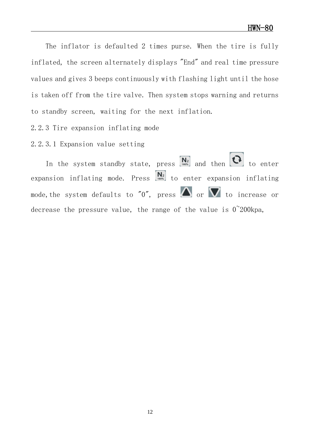The inflator is defaulted 2 times purse. When the tire is fully inflated, the screen alternately displays "End" and real time pressure values and gives 3 beeps continuously with flashing light until the hose is taken off from the tire valve. Then system stops warning and returns to standby screen, waiting for the next inflation.

2.2.3 Tire expansion inflating mode

2.2.3.1 Expansion value setting

In the system standby state, press  $\overline{N_2}$  and then to enter expansion inflating mode. Press  $\begin{bmatrix} N_2 \\ N_3 \end{bmatrix}$  to enter expansion inflating mode, the system defaults to "0", press  $\Delta$  or  $\nabla$  to increase or decrease the pressure value, the range of the value is  $0^{\degree}200$ kpa,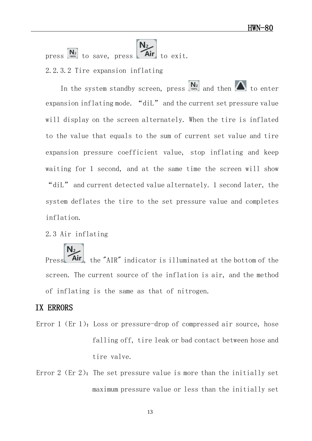press  $\begin{bmatrix} N_2 \\ N_1 \end{bmatrix}$  to save, press **Air** to exit. 2.2.3.2 Tire expansion inflating

In the system standby screen, press  $\begin{bmatrix} \mathbf{N}_2 \\ \mathbf{N}_3 \end{bmatrix}$  and then  $\Delta$  to enter expansion inflating mode. "diL" and the current set pressure value will display on the screen alternately. When the tire is inflated to the value that equals to the sum of current set value and tire expansion pressure coefficient value, stop inflating and keep waiting for 1 second, and at the same time the screen will show "diL" and current detected value alternately. 1 second later, the system deflates the tire to the set pressure value and completes inflation.

2.3 Air inflating

Press **Air**, the "AIR" indicator is illuminated at the bottom of the screen. The current source of the inflation is air, and the method of inflating is the same as that of nitrogen.

#### <span id="page-13-0"></span>IX ERRORS

- Error 1 (Er 1): Loss or pressure-drop of compressed air source, hose falling off, tire leak or bad contact between hose and tire valve.
- Error 2 (Er 2): The set pressure value is more than the initially set maximum pressure value or less than the initially set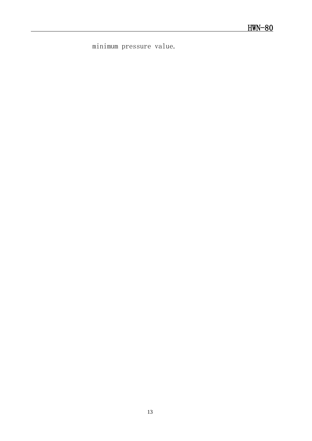minimum pressure value.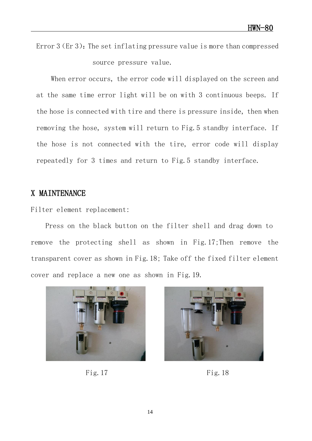Error  $3(Er 3)$ : The set inflating pressure value is more than compressed source pressure value.

When error occurs, the error code will displayed on the screen and at the same time error light will be on with 3 continuous beeps. If the hose is connected with tire and there is pressure inside, then when removing the hose, system will return to Fig.5 standby interface. If the hose is not connected with the tire, error code will display repeatedly for 3 times and return to Fig. 5 standby interface.

#### <span id="page-15-0"></span>X MAINTENANCE

Filter element replacement:

Press on the black button on the filter shell and drag down to remove the protecting shell as shown in Fig.17;Then remove the transparent cover as shown in Fig.18; Take off the fixed filter element cover and replace a new one as shown in Fig.19.



Fig.  $17$  Fig.  $18$